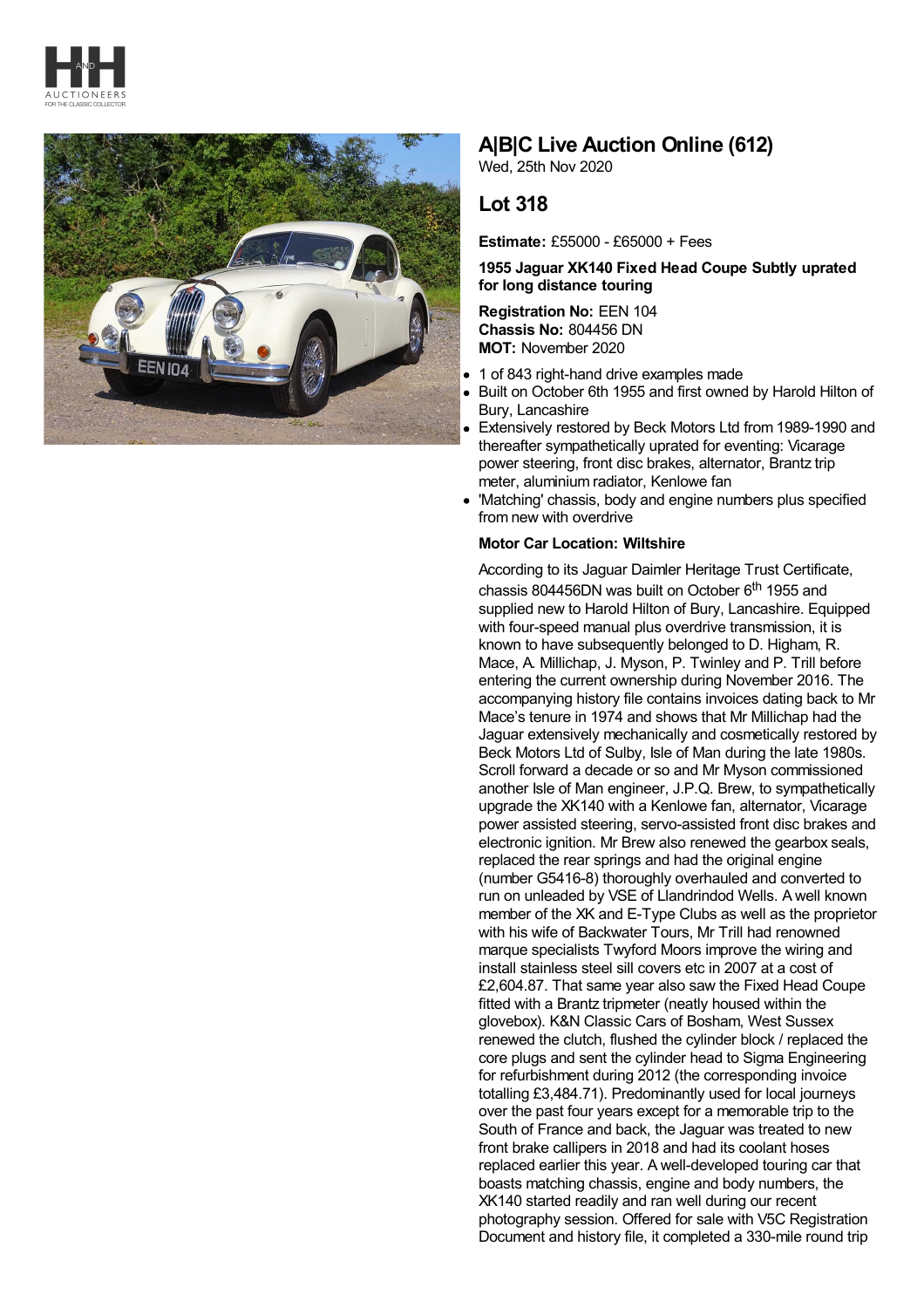



# **A|B|C Live Auction Online (612)**

Wed, 25th Nov 2020

# **Lot 318**

**Estimate:** £55000 - £65000 + Fees

## **1955 Jaguar XK140 Fixed Head Coupe Subtly uprated for long distance touring**

**Registration No:** EEN 104 **Chassis No:** 804456 DN **MOT:** November 2020

- 1 of 843 right-hand drive examples made
- Built on October 6th 1955 and first owned by Harold Hilton of Bury, Lancashire
- Extensively restored by Beck Motors Ltd from 1989-1990 and thereafter sympathetically uprated for eventing: Vicarage power steering, front disc brakes, alternator, Brantz trip meter, aluminium radiator, Kenlowe fan
- 'Matching' chassis, body and engine numbers plus specified from new with overdrive

### **Motor Car Location: Wiltshire**

According to its Jaguar Daimler Heritage Trust Certificate, chassis 804456DN was built on October 6<sup>th</sup> 1955 and supplied new to Harold Hilton of Bury, Lancashire. Equipped with four-speed manual plus overdrive transmission, it is known to have subsequently belonged to D. Higham, R. Mace, A. Millichap, J. Myson, P. Twinley and P. Trill before entering the current ownership during November 2016. The accompanying history file contains invoices dating back to Mr Mace's tenure in 1974 and shows that Mr Millichap had the Jaguar extensively mechanically and cosmetically restored by Beck Motors Ltd of Sulby, Isle of Man during the late 1980s. Scroll forward a decade or so and Mr Myson commissioned another Isle of Man engineer, J.P.Q. Brew, to sympathetically upgrade the XK140 with a Kenlowe fan, alternator, Vicarage power assisted steering, servo-assisted front disc brakes and electronic ignition. Mr Brew also renewed the gearbox seals, replaced the rear springs and had the original engine (number G5416-8) thoroughly overhauled and converted to run on unleaded by VSE of Llandrindod Wells. A well known member of the XK and E-Type Clubs as well as the proprietor with his wife of Backwater Tours, Mr Trill had renowned marque specialists Twyford Moors improve the wiring and install stainless steel sill covers etc in 2007 at a cost of £2,604.87. That same year also saw the Fixed Head Coupe fitted with a Brantz tripmeter (neatly housed within the glovebox). K&N Classic Cars of Bosham, West Sussex renewed the clutch, flushed the cylinder block / replaced the core plugs and sent the cylinder head to Sigma Engineering for refurbishment during 2012 (the corresponding invoice totalling £3,484.71). Predominantly used for local journeys over the past four years except for a memorable trip to the South of France and back, the Jaguar was treated to new front brake callipers in 2018 and had its coolant hoses replaced earlier this year. A well-developed touring car that boasts matching chassis, engine and body numbers, the XK140 started readily and ran well during our recent photography session. Offered for sale with V5C Registration Document and history file, it completed a 330-mile round trip